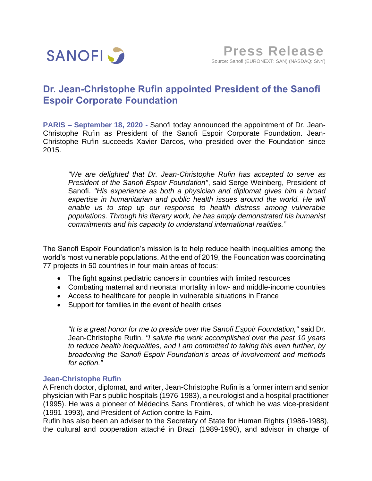

## **Dr. Jean-Christophe Rufin appointed President of the Sanofi Espoir Corporate Foundation**

**PARIS – September 18, 2020 -** Sanofi today announced the appointment of Dr. Jean-Christophe Rufin as President of the Sanofi Espoir Corporate Foundation. Jean-Christophe Rufin succeeds Xavier Darcos, who presided over the Foundation since 2015.

*"We are delighted that Dr. Jean-Christophe Rufin has accepted to serve as President of the Sanofi Espoir Foundation"*, said Serge Weinberg, President of Sanofi. *"His experience as both a physician and diplomat gives him a broad expertise in humanitarian and public health issues around the world. He will enable us to step up our response to health distress among vulnerable populations. Through his literary work, he has amply demonstrated his humanist commitments and his capacity to understand international realities."*

The Sanofi Espoir Foundation's mission is to help reduce health inequalities among the world's most vulnerable populations. At the end of 2019, the Foundation was coordinating 77 projects in 50 countries in four main areas of focus:

- The fight against pediatric cancers in countries with limited resources
- Combating maternal and neonatal mortality in low- and middle-income countries
- Access to healthcare for people in vulnerable situations in France
- Support for families in the event of health crises

*"It is a great honor for me to preside over the Sanofi Espoir Foundation,"* said Dr. Jean-Christophe Rufin. *"I salute the work accomplished over the past 10 years to reduce health inequalities, and I am committed to taking this even further, by broadening the Sanofi Espoir Foundation's areas of involvement and methods for action."* 

## **Jean-Christophe Rufin**

A French doctor, diplomat, and writer, Jean-Christophe Rufin is a former intern and senior physician with Paris public hospitals (1976-1983), a neurologist and a hospital practitioner (1995). He was a pioneer of Médecins Sans Frontières, of which he was vice-president (1991-1993), and President of Action contre la Faim.

Rufin has also been an adviser to the Secretary of State for Human Rights (1986-1988), the cultural and cooperation attaché in Brazil (1989-1990), and advisor in charge of